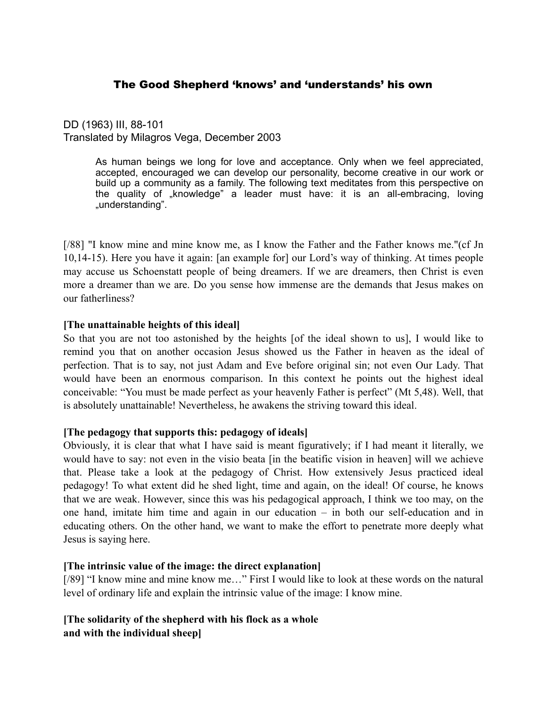# The Good Shepherd 'knows' and 'understands' his own

DD (1963) III, 88-101 Translated by Milagros Vega, December 2003

> As human beings we long for love and acceptance. Only when we feel appreciated, accepted, encouraged we can develop our personality, become creative in our work or build up a community as a family. The following text meditates from this perspective on the quality of "knowledge" a leader must have: it is an all-embracing, loving "understanding".

[/88] "I know mine and mine know me, as I know the Father and the Father knows me."(cf Jn 10,14-15). Here you have it again: [an example for] our Lord's way of thinking. At times people may accuse us Schoenstatt people of being dreamers. If we are dreamers, then Christ is even more a dreamer than we are. Do you sense how immense are the demands that Jesus makes on our fatherliness?

#### **[The unattainable heights of this ideal]**

So that you are not too astonished by the heights [of the ideal shown to us], I would like to remind you that on another occasion Jesus showed us the Father in heaven as the ideal of perfection. That is to say, not just Adam and Eve before original sin; not even Our Lady. That would have been an enormous comparison. In this context he points out the highest ideal conceivable: "You must be made perfect as your heavenly Father is perfect" (Mt 5,48). Well, that is absolutely unattainable! Nevertheless, he awakens the striving toward this ideal.

#### **[The pedagogy that supports this: pedagogy of ideals]**

Obviously, it is clear that what I have said is meant figuratively; if I had meant it literally, we would have to say: not even in the visio beata [in the beatific vision in heaven] will we achieve that. Please take a look at the pedagogy of Christ. How extensively Jesus practiced ideal pedagogy! To what extent did he shed light, time and again, on the ideal! Of course, he knows that we are weak. However, since this was his pedagogical approach, I think we too may, on the one hand, imitate him time and again in our education – in both our self-education and in educating others. On the other hand, we want to make the effort to penetrate more deeply what Jesus is saying here.

#### **[The intrinsic value of the image: the direct explanation]**

[/89] "I know mine and mine know me..." First I would like to look at these words on the natural level of ordinary life and explain the intrinsic value of the image: I know mine.

## **[The solidarity of the shepherd with his flock as a whole and with the individual sheep]**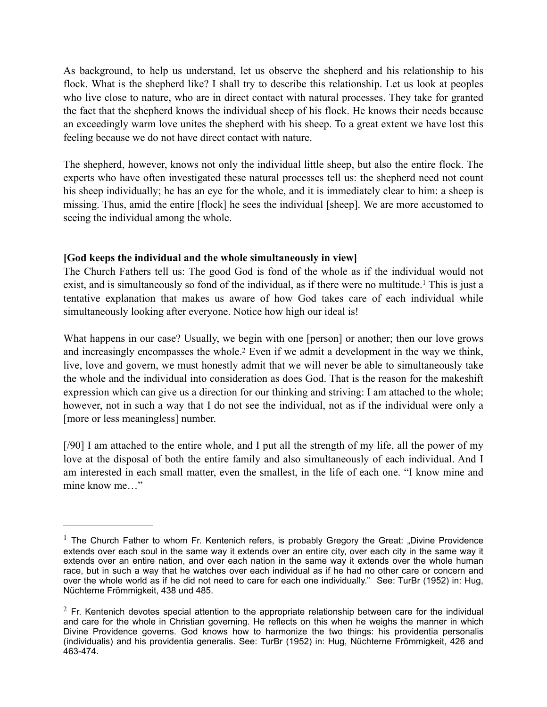As background, to help us understand, let us observe the shepherd and his relationship to his flock. What is the shepherd like? I shall try to describe this relationship. Let us look at peoples who live close to nature, who are in direct contact with natural processes. They take for granted the fact that the shepherd knows the individual sheep of his flock. He knows their needs because an exceedingly warm love unites the shepherd with his sheep. To a great extent we have lost this feeling because we do not have direct contact with nature.

The shepherd, however, knows not only the individual little sheep, but also the entire flock. The experts who have often investigated these natural processes tell us: the shepherd need not count his sheep individually; he has an eye for the whole, and it is immediately clear to him: a sheep is missing. Thus, amid the entire [flock] he sees the individual [sheep]. We are more accustomed to seeing the individual among the whole.

## **[God keeps the individual and the whole simultaneously in view]**

<span id="page-1-2"></span>The Church Fathers tell us: The good God is fond of the whole as if the individual would not exist, and is simultaneously so fond of the individual, as if there were no multitude.<sup>[1](#page-1-0)</sup> This is just a tentative explanation that makes us aware of how God takes care of each individual while simultaneously looking after everyone. Notice how high our ideal is!

<span id="page-1-3"></span>What happens in our case? Usually, we begin with one [person] or another; then our love grows and increasingly encompasses the whole[.](#page-1-1)<sup>[2](#page-1-1)</sup> Even if we admit a development in the way we think, live, love and govern, we must honestly admit that we will never be able to simultaneously take the whole and the individual into consideration as does God. That is the reason for the makeshift expression which can give us a direction for our thinking and striving: I am attached to the whole; however, not in such a way that I do not see the individual, not as if the individual were only a [more or less meaningless] number.

[/90] I am attached to the entire whole, and I put all the strength of my life, all the power of my love at the disposal of both the entire family and also simultaneously of each individual. And I am interested in each small matter, even the smallest, in the life of each one. "I know mine and mine know me…"

<span id="page-1-0"></span> $1$  The Church Father to whom Fr. Kentenich refers, is probably Gregory the Great: "Divine Providence extends over each soul in the same way it extends over an entire city, over each city in the same way it extends over an entire nation, and over each nation in the same way it extends over the whole human race, but in such a way that he watches over each individual as if he had no other care or concern and over the whole world as if he did not need to care for each one individually." See: TurBr (1952) in: Hug, Nüchterne Frömmigkeit, 438 und 485.

<span id="page-1-1"></span> $2$  Fr. Kentenich devotes special attention to the appropriate relationship between care for the individual and care for the whole in Christian governing. He reflects on this when he weighs the manner in which Divine Providence governs. God knows how to harmonize the two things: his providentia personalis (individualis) and his providentia generalis. See: TurBr (1952) in: Hug, Nüchterne Frömmigkeit, 426 and 463-474.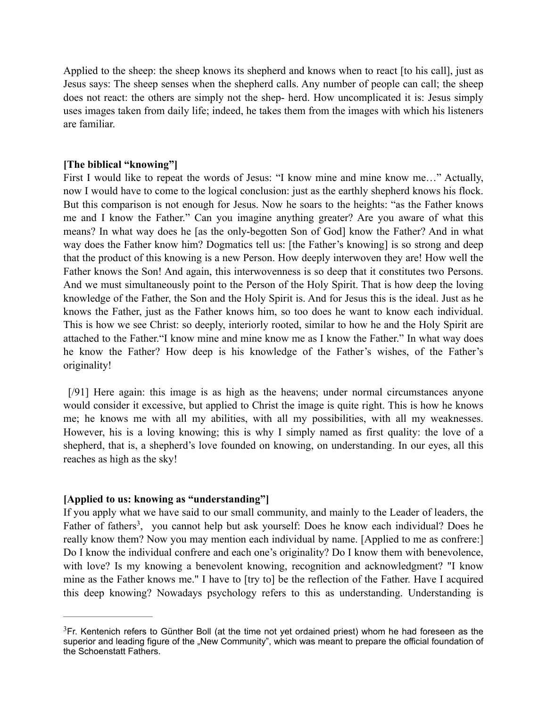Applied to the sheep: the sheep knows its shepherd and knows when to react [to his call], just as Jesus says: The sheep senses when the shepherd calls. Any number of people can call; the sheep does not react: the others are simply not the shep- herd. How uncomplicated it is: Jesus simply uses images taken from daily life; indeed, he takes them from the images with which his listeners are familiar.

### **[The biblical "knowing"]**

First I would like to repeat the words of Jesus: "I know mine and mine know me..." Actually, now I would have to come to the logical conclusion: just as the earthly shepherd knows his flock. But this comparison is not enough for Jesus. Now he soars to the heights: "as the Father knows me and I know the Father." Can you imagine anything greater? Are you aware of what this means? In what way does he [as the only-begotten Son of God] know the Father? And in what way does the Father know him? Dogmatics tell us: [the Father's knowing] is so strong and deep that the product of this knowing is a new Person. How deeply interwoven they are! How well the Father knows the Son! And again, this interwovenness is so deep that it constitutes two Persons. And we must simultaneously point to the Person of the Holy Spirit. That is how deep the loving knowledge of the Father, the Son and the Holy Spirit is. And for Jesus this is the ideal. Just as he knows the Father, just as the Father knows him, so too does he want to know each individual. This is how we see Christ: so deeply, interiorly rooted, similar to how he and the Holy Spirit are attached to the Father."I know mine and mine know me as I know the Father." In what way does he know the Father? How deep is his knowledge of the Father's wishes, of the Father's originality!

[/91] Here again: this image is as high as the heavens; under normal circumstances anyone would consider it excessive, but applied to Christ the image is quite right. This is how he knows me; he knows me with all my abilities, with all my possibilities, with all my weaknesses. However, his is a loving knowing; this is why I simply named as first quality: the love of a shepherd, that is, a shepherd's love founded on knowing, on understanding. In our eyes, all this reaches as high as the sky!

## **[Applied to us: knowing as "understanding"]**

<span id="page-2-1"></span>If you apply what we have said to our small community, and mainly to the Leader of leaders, the Father of fathers<sup>3</sup>[,](#page-2-0) you cannot help but ask yourself: Does he know each individual? Does he really know them? Now you may mention each individual by name. [Applied to me as confrere:] Do I know the individual confrere and each one's originality? Do I know them with benevolence, with love? Is my knowing a benevolent knowing, recognition and acknowledgment? "I know mine as the Father knows me." I have to [try to] be the reflection of the Father. Have I acquired this deep knowing? Nowadays psychology refers to this as understanding. Understanding is

<span id="page-2-0"></span> ${}^{3}$  ${}^{3}$  ${}^{3}$ Fr. Kentenich refers to Günther Boll (at the time not vet ordained priest) whom he had foreseen as the superior and leading figure of the "New Community", which was meant to prepare the official foundation of the Schoenstatt Fathers.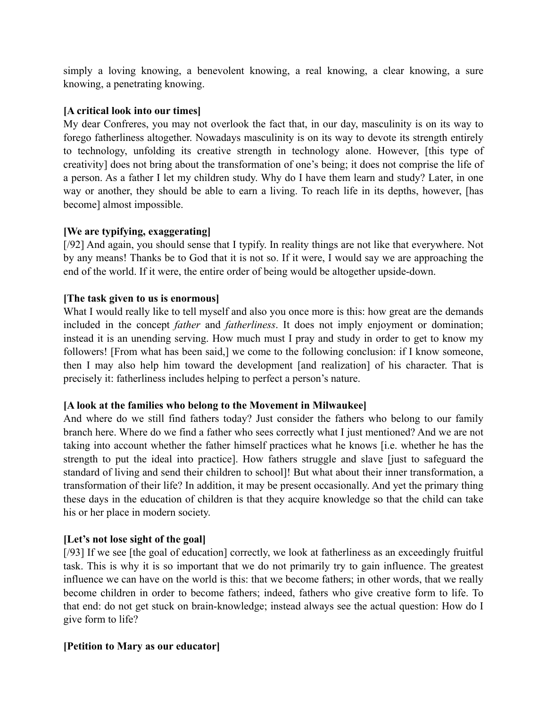simply a loving knowing, a benevolent knowing, a real knowing, a clear knowing, a sure knowing, a penetrating knowing.

### **[A critical look into our times]**

My dear Confreres, you may not overlook the fact that, in our day, masculinity is on its way to forego fatherliness altogether. Nowadays masculinity is on its way to devote its strength entirely to technology, unfolding its creative strength in technology alone. However, [this type of creativity] does not bring about the transformation of one's being; it does not comprise the life of a person. As a father I let my children study. Why do I have them learn and study? Later, in one way or another, they should be able to earn a living. To reach life in its depths, however, [has become] almost impossible.

#### **[We are typifying, exaggerating]**

[/92] And again, you should sense that I typify. In reality things are not like that everywhere. Not by any means! Thanks be to God that it is not so. If it were, I would say we are approaching the end of the world. If it were, the entire order of being would be altogether upside-down.

#### **[The task given to us is enormous]**

What I would really like to tell myself and also you once more is this: how great are the demands included in the concept *father* and *fatherliness*. It does not imply enjoyment or domination; instead it is an unending serving. How much must I pray and study in order to get to know my followers! [From what has been said,] we come to the following conclusion: if I know someone, then I may also help him toward the development [and realization] of his character. That is precisely it: fatherliness includes helping to perfect a person's nature.

## **[A look at the families who belong to the Movement in Milwaukee]**

And where do we still find fathers today? Just consider the fathers who belong to our family branch here. Where do we find a father who sees correctly what I just mentioned? And we are not taking into account whether the father himself practices what he knows [i.e. whether he has the strength to put the ideal into practice]. How fathers struggle and slave [just to safeguard the standard of living and send their children to school]! But what about their inner transformation, a transformation of their life? In addition, it may be present occasionally. And yet the primary thing these days in the education of children is that they acquire knowledge so that the child can take his or her place in modern society.

## **[Let's not lose sight of the goal]**

[/93] If we see [the goal of education] correctly, we look at fatherliness as an exceedingly fruitful task. This is why it is so important that we do not primarily try to gain influence. The greatest influence we can have on the world is this: that we become fathers; in other words, that we really become children in order to become fathers; indeed, fathers who give creative form to life. To that end: do not get stuck on brain-knowledge; instead always see the actual question: How do I give form to life?

#### **[Petition to Mary as our educator]**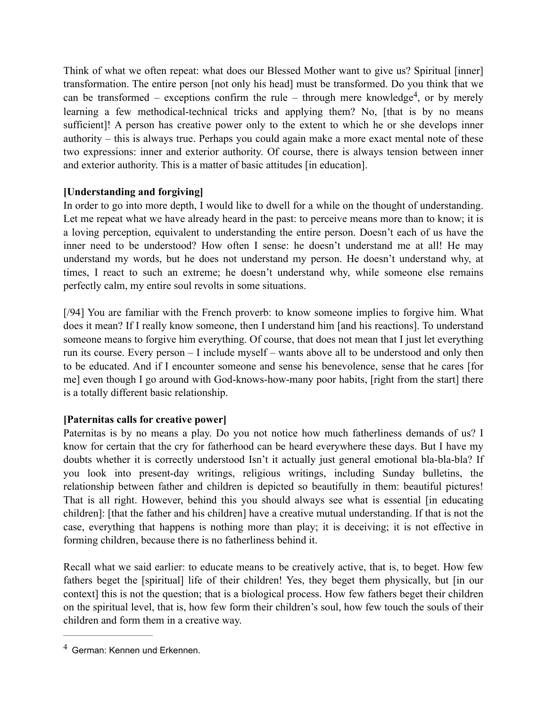<span id="page-4-1"></span>Think of what we often repeat: what does our Blessed Mother want to give us? Spiritual [inner] transformation. The entire person [not only his head] must be transformed. Do you think that we can be transformed – exceptions confirm the rule – through mere knowledge<sup>[4](#page-4-0)</sup>, or by merely learning a few methodical-technical tricks and applying them? No, [that is by no means sufficient]! A person has creative power only to the extent to which he or she develops inner authority – this is always true. Perhaps you could again make a more exact mental note of these two expressions: inner and exterior authority. Of course, there is always tension between inner and exterior authority. This is a matter of basic attitudes [in education].

## **[Understanding and forgiving]**

In order to go into more depth, I would like to dwell for a while on the thought of understanding. Let me repeat what we have already heard in the past: to perceive means more than to know; it is a loving perception, equivalent to understanding the entire person. Doesn't each of us have the inner need to be understood? How often I sense: he doesn't understand me at all! He may understand my words, but he does not understand my person. He doesn't understand why, at times, I react to such an extreme; he doesn't understand why, while someone else remains perfectly calm, my entire soul revolts in some situations.

[/94] You are familiar with the French proverb: to know someone implies to forgive him. What does it mean? If I really know someone, then I understand him [and his reactions]. To understand someone means to forgive him everything. Of course, that does not mean that I just let everything run its course. Every person – I include myself – wants above all to be understood and only then to be educated. And if I encounter someone and sense his benevolence, sense that he cares [for me] even though I go around with God-knows-how-many poor habits, [right from the start] there is a totally different basic relationship.

# **[Paternitas calls for creative power]**

Paternitas is by no means a play. Do you not notice how much fatherliness demands of us? I know for certain that the cry for fatherhood can be heard everywhere these days. But I have my doubts whether it is correctly understood Isn't it actually just general emotional bla-bla-bla? If you look into present-day writings, religious writings, including Sunday bulletins, the relationship between father and children is depicted so beautifully in them: beautiful pictures! That is all right. However, behind this you should always see what is essential [in educating children]: [that the father and his children] have a creative mutual understanding. If that is not the case, everything that happens is nothing more than play; it is deceiving; it is not effective in forming children, because there is no fatherliness behind it.

Recall what we said earlier: to educate means to be creatively active, that is, to beget. How few fathers beget the [spiritual] life of their children! Yes, they beget them physically, but [in our context] this is not the question; that is a biological process. How few fathers beget their children on the spiritual level, that is, how few form their children's soul, how few touch the souls of their children and form them in a creative way.

<span id="page-4-0"></span> $4$  German: Kennen und Erkennen.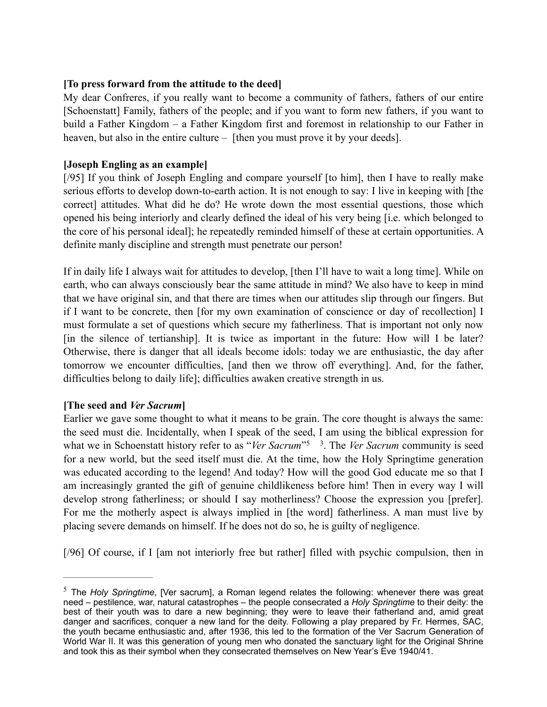## **[To press forward from the attitude to the deed]**

My dear Confreres, if you really want to become a community of fathers, fathers of our entire [Schoenstatt] Family, fathers of the people; and if you want to form new fathers, if you want to build a Father Kingdom – a Father Kingdom first and foremost in relationship to our Father in heaven, but also in the entire culture – [then you must prove it by your deeds].

## **[Joseph Engling as an example]**

[/95] If you think of Joseph Engling and compare yourself [to him], then I have to really make serious efforts to develop down-to-earth action. It is not enough to say: I live in keeping with [the correct] attitudes. What did he do? He wrote down the most essential questions, those which opened his being interiorly and clearly defined the ideal of his very being [i.e. which belonged to the core of his personal ideal]; he repeatedly reminded himself of these at certain opportunities. A definite manly discipline and strength must penetrate our person!

If in daily life I always wait for attitudes to develop, [then I'll have to wait a long time]. While on earth, who can always consciously bear the same attitude in mind? We also have to keep in mind that we have original sin, and that there are times when our attitudes slip through our fingers. But if I want to be concrete, then [for my own examination of conscience or day of recollection] I must formulate a set of questions which secure my fatherliness. That is important not only now [in the silence of tertianship]. It is twice as important in the future: How will I be later? Otherwise, there is danger that all ideals become idols: today we are enthusiastic, the day after tomorrow we encounter difficulties, [and then we throw off everything]. And, for the father, difficulties belong to daily life]; difficulties awaken creative strength in us.

## **[The seed and** *Ver Sacrum***]**

<span id="page-5-1"></span>Earlier we gave some thought to what it means to be grain. The core thought is always the same: the seed must die. Incidentally, when I speak of the seed, I am using the biblical expression for what we in Schoenstatt history refer to as "*Ver Sacrum*"<sup>[5](#page-5-0)</sup><sup>3</sup>. The *Ver Sacrum* community is seed for a new world, but the seed itself must die. At the time, how the Holy Springtime generation was educated according to the legend! And today? How will the good God educate me so that I am increasingly granted the gift of genuine childlikeness before him! Then in every way I will develop strong fatherliness; or should I say motherliness? Choose the expression you [prefer]. For me the motherly aspect is always implied in [the word] fatherliness. A man must live by placing severe demands on himself. If he does not do so, he is guilty of negligence.

[/96] Of course, if I [am not interiorly free but rather] filled with psychic compulsion, then in

<span id="page-5-0"></span><sup>&</sup>lt;sup>[5](#page-5-1)</sup> The *Holy Springtime*, [Ver sacrum], a Roman legend relates the following: whenever there was great need – pestilence, war, natural catastrophes – the people consecrated a *Holy Springtime* to their deity: the best of their youth was to dare a new beginning; they were to leave their fatherland and, amid great danger and sacrifices, conquer a new land for the deity. Following a play prepared by Fr. Hermes, SAC, the youth became enthusiastic and, after 1936, this led to the formation of the Ver Sacrum Generation of World War II. It was this generation of young men who donated the sanctuary light for the Original Shrine and took this as their symbol when they consecrated themselves on New Year's Eve 1940/41.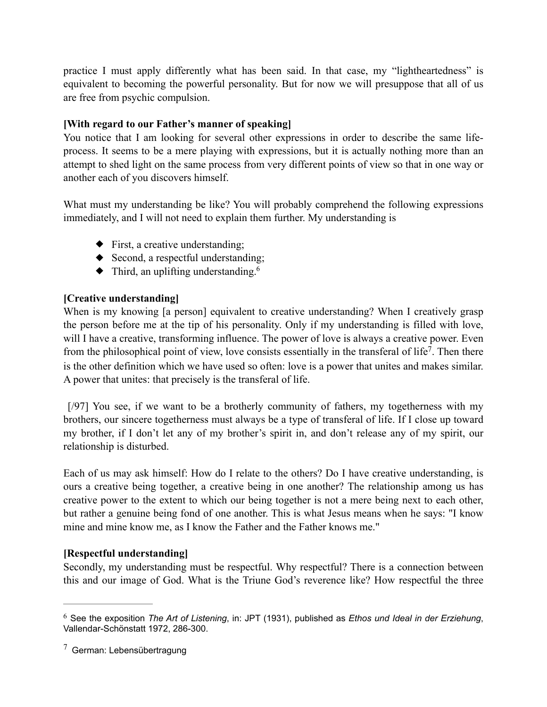practice I must apply differently what has been said. In that case, my "lightheartedness" is equivalent to becoming the powerful personality. But for now we will presuppose that all of us are free from psychic compulsion.

## **[With regard to our Father's manner of speaking]**

You notice that I am looking for several other expressions in order to describe the same lifeprocess. It seems to be a mere playing with expressions, but it is actually nothing more than an attempt to shed light on the same process from very different points of view so that in one way or another each of you discovers himself.

What must my understanding be like? You will probably comprehend the following expressions immediately, and I will not need to explain them further. My understanding is

- ◆ First, a creative understanding;
- <span id="page-6-2"></span>◆ Second, a respectful understanding;
- <span id="page-6-3"></span> $\blacklozenge$  Third, an uplifting understanding.<sup>6</sup>

## **[Creative understanding]**

When is my knowing [a person] equivalent to creative understanding? When I creatively grasp the person before me at the tip of his personality. Only if my understanding is filled with love, will I have a creative, transforming influence. The power of love is always a creative power. Even from the philosophical point of view, love consists essentially in the transferal of life<sup>[7](#page-6-1)</sup>. Then there is the other definition which we have used so often: love is a power that unites and makes similar. A power that unites: that precisely is the transferal of life.

[/97] You see, if we want to be a brotherly community of fathers, my togetherness with my brothers, our sincere togetherness must always be a type of transferal of life. If I close up toward my brother, if I don't let any of my brother's spirit in, and don't release any of my spirit, our relationship is disturbed.

Each of us may ask himself: How do I relate to the others? Do I have creative understanding, is ours a creative being together, a creative being in one another? The relationship among us has creative power to the extent to which our being together is not a mere being next to each other, but rather a genuine being fond of one another. This is what Jesus means when he says: "I know mine and mine know me, as I know the Father and the Father knows me."

## **[Respectful understanding]**

Secondly, my understanding must be respectful. Why respectful? There is a connection between this and our image of God. What is the Triune God's reverence like? How respectful the three

<span id="page-6-0"></span>See the exposition *The Art of Listening*, in: JPT (1931), published as *Ethos und Ideal in der Erziehung*, [6](#page-6-2) Vallendar-Schönstatt 1972, 286-300.

<span id="page-6-1"></span> $7$  German: Lebensübertragung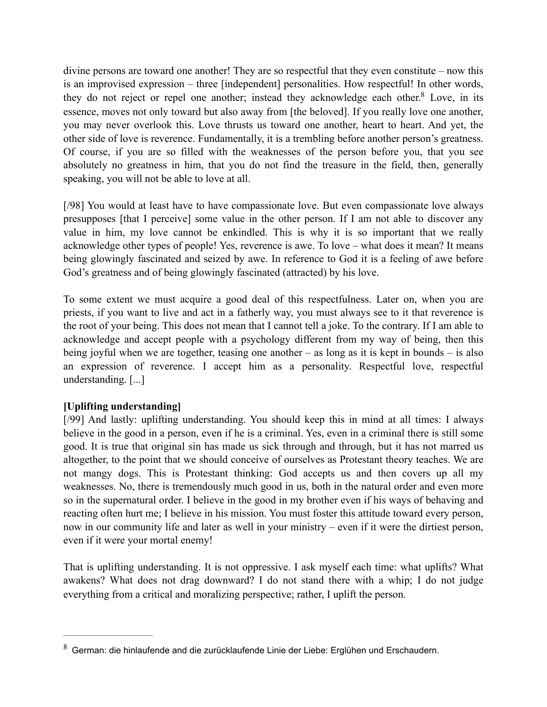<span id="page-7-1"></span>divine persons are toward one another! They are so respectful that they even constitute – now this is an improvised expression – three [independent] personalities. How respectful! In other words, they do not reject or repel one another; instead they acknowledge each other. $8$  Love, in its essence, moves not only toward but also away from [the beloved]. If you really love one another, you may never overlook this. Love thrusts us toward one another, heart to heart. And yet, the other side of love is reverence. Fundamentally, it is a trembling before another person's greatness. Of course, if you are so filled with the weaknesses of the person before you, that you see absolutely no greatness in him, that you do not find the treasure in the field, then, generally speaking, you will not be able to love at all.

[/98] You would at least have to have compassionate love. But even compassionate love always presupposes [that I perceive] some value in the other person. If I am not able to discover any value in him, my love cannot be enkindled. This is why it is so important that we really acknowledge other types of people! Yes, reverence is awe. To love – what does it mean? It means being glowingly fascinated and seized by awe. In reference to God it is a feeling of awe before God's greatness and of being glowingly fascinated (attracted) by his love.

To some extent we must acquire a good deal of this respectfulness. Later on, when you are priests, if you want to live and act in a fatherly way, you must always see to it that reverence is the root of your being. This does not mean that I cannot tell a joke. To the contrary. If I am able to acknowledge and accept people with a psychology different from my way of being, then this being joyful when we are together, teasing one another – as long as it is kept in bounds – is also an expression of reverence. I accept him as a personality. Respectful love, respectful understanding. [...]

# **[Uplifting understanding]**

[/99] And lastly: uplifting understanding. You should keep this in mind at all times: I always believe in the good in a person, even if he is a criminal. Yes, even in a criminal there is still some good. It is true that original sin has made us sick through and through, but it has not marred us altogether, to the point that we should conceive of ourselves as Protestant theory teaches. We are not mangy dogs. This is Protestant thinking: God accepts us and then covers up all my weaknesses. No, there is tremendously much good in us, both in the natural order and even more so in the supernatural order. I believe in the good in my brother even if his ways of behaving and reacting often hurt me; I believe in his mission. You must foster this attitude toward every person, now in our community life and later as well in your ministry – even if it were the dirtiest person, even if it were your mortal enemy!

That is uplifting understanding. It is not oppressive. I ask myself each time: what uplifts? What awakens? What does not drag downward? I do not stand there with a whip; I do not judge everything from a critical and moralizing perspective; rather, I uplift the person.

<span id="page-7-0"></span> $8$  German: die hinlaufende and die zurücklaufende Linie der Liebe: Erglühen und Erschaudern.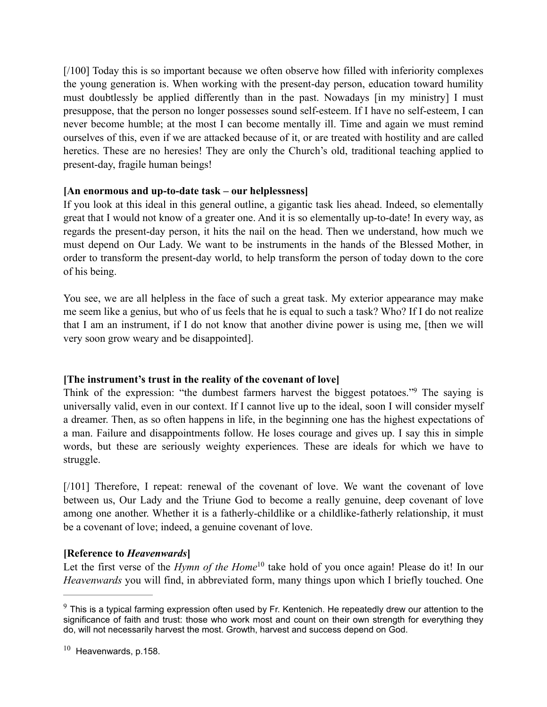[/100] Today this is so important because we often observe how filled with inferiority complexes the young generation is. When working with the present-day person, education toward humility must doubtlessly be applied differently than in the past. Nowadays [in my ministry] I must presuppose, that the person no longer possesses sound self-esteem. If I have no self-esteem, I can never become humble; at the most I can become mentally ill. Time and again we must remind ourselves of this, even if we are attacked because of it, or are treated with hostility and are called heretics. These are no heresies! They are only the Church's old, traditional teaching applied to present-day, fragile human beings!

## **[An enormous and up-to-date task – our helplessness]**

If you look at this ideal in this general outline, a gigantic task lies ahead. Indeed, so elementally great that I would not know of a greater one. And it is so elementally up-to-date! In every way, as regards the present-day person, it hits the nail on the head. Then we understand, how much we must depend on Our Lady. We want to be instruments in the hands of the Blessed Mother, in order to transform the present-day world, to help transform the person of today down to the core of his being.

You see, we are all helpless in the face of such a great task. My exterior appearance may make me seem like a genius, but who of us feels that he is equal to such a task? Who? If I do not realize that I am an instrument, if I do not know that another divine power is using me, [then we will very soon grow weary and be disappointed].

# <span id="page-8-2"></span>**[The instrument's trust in the reality of the covenant of love]**

Think of the expression: ["](#page-8-0)the dumbest farmers harvest the biggest potatoes."<sup>[9](#page-8-0)</sup> The saying is universally valid, even in our context. If I cannot live up to the ideal, soon I will consider myself a dreamer. Then, as so often happens in life, in the beginning one has the highest expectations of a man. Failure and disappointments follow. He loses courage and gives up. I say this in simple words, but these are seriously weighty experiences. These are ideals for which we have to struggle.

[/101] Therefore, I repeat: renewal of the covenant of love. We want the covenant of love between us, Our Lady and the Triune God to become a really genuine, deep covenant of love among one another. Whether it is a fatherly-childlike or a childlike-fatherly relationship, it must be a covenant of love; indeed, a genuine covenant of love.

## **[Reference to** *Heavenwards***]**

<span id="page-8-3"></span>Let the first verse of the *Hymn of the Home*<sup>[10](#page-8-1)</sup> take hold of you once again! Please do it! In our *Heavenwards* you will find, in abbreviated form, many things upon which I briefly touched. One

<span id="page-8-0"></span> $9$  This is a typical farming expression often used by Fr. Kentenich. He repeatedly drew our attention to the significance of faith and trust: those who work most and count on their own strength for everything they do, will not necessarily harvest the most. Growth, harvest and success depend on God.

<span id="page-8-1"></span> $10$  Heavenwards, p.158.